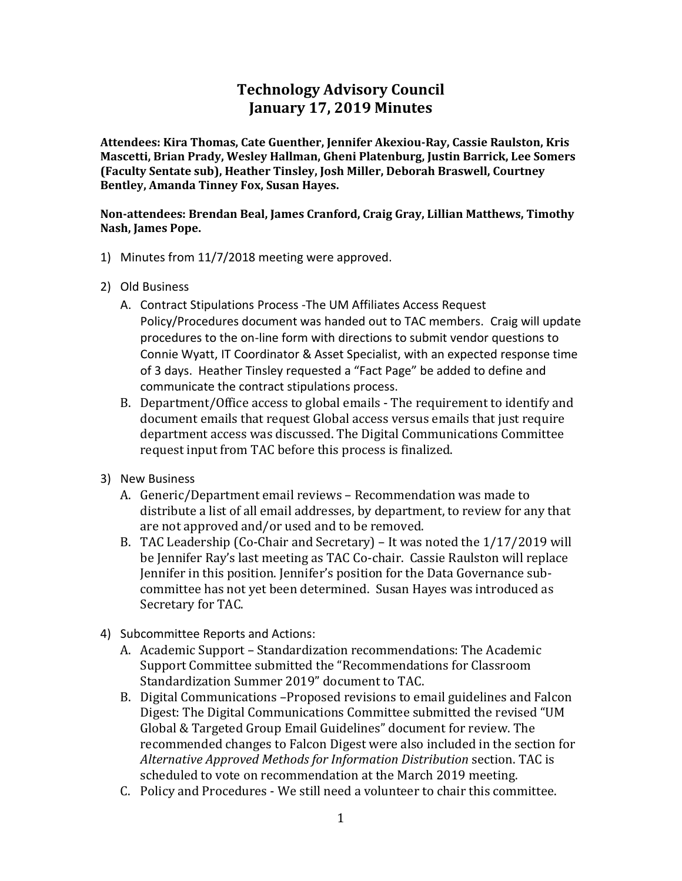## **Technology Advisory Council January 17, 2019 Minutes**

**Attendees: Kira Thomas, Cate Guenther, Jennifer Akexiou-Ray, Cassie Raulston, Kris Mascetti, Brian Prady, Wesley Hallman, Gheni Platenburg, Justin Barrick, Lee Somers (Faculty Sentate sub), Heather Tinsley, Josh Miller, Deborah Braswell, Courtney Bentley, Amanda Tinney Fox, Susan Hayes.**

**Non-attendees: Brendan Beal, James Cranford, Craig Gray, Lillian Matthews, Timothy Nash, James Pope.** 

- 1) Minutes from 11/7/2018 meeting were approved.
- 2) Old Business
	- A. Contract Stipulations Process -The UM Affiliates Access Request Policy/Procedures document was handed out to TAC members. Craig will update procedures to the on-line form with directions to submit vendor questions to Connie Wyatt, IT Coordinator & Asset Specialist, with an expected response time of 3 days. Heather Tinsley requested a "Fact Page" be added to define and communicate the contract stipulations process.
	- B. Department/Office access to global emails The requirement to identify and document emails that request Global access versus emails that just require department access was discussed. The Digital Communications Committee request input from TAC before this process is finalized.
- 3) New Business
	- A. Generic/Department email reviews Recommendation was made to distribute a list of all email addresses, by department, to review for any that are not approved and/or used and to be removed.
	- B. TAC Leadership (Co-Chair and Secretary) It was noted the 1/17/2019 will be Jennifer Ray's last meeting as TAC Co-chair. Cassie Raulston will replace Jennifer in this position. Jennifer's position for the Data Governance subcommittee has not yet been determined. Susan Hayes was introduced as Secretary for TAC.
- 4) Subcommittee Reports and Actions:
	- A. Academic Support Standardization recommendations: The Academic Support Committee submitted the "Recommendations for Classroom Standardization Summer 2019" document to TAC.
	- B. Digital Communications –Proposed revisions to email guidelines and Falcon Digest: The Digital Communications Committee submitted the revised "UM Global & Targeted Group Email Guidelines" document for review. The recommended changes to Falcon Digest were also included in the section for *Alternative Approved Methods for Information Distribution* section. TAC is scheduled to vote on recommendation at the March 2019 meeting.
	- C. Policy and Procedures We still need a volunteer to chair this committee.